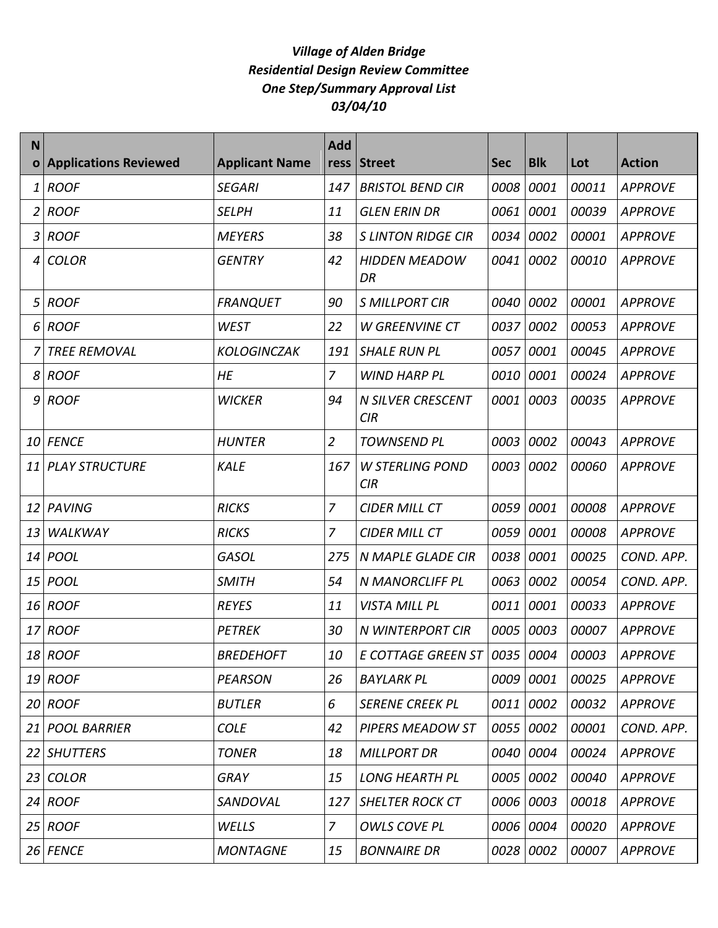## *Village of Alden Bridge Residential Design Review Committee One Step/Summary Approval List 03/04/10*

| N            |                              |                       | <b>Add</b>     |                                 |            |            |       |                |
|--------------|------------------------------|-----------------------|----------------|---------------------------------|------------|------------|-------|----------------|
| $\mathbf{o}$ | <b>Applications Reviewed</b> | <b>Applicant Name</b> | ress           | <b>Street</b>                   | <b>Sec</b> | <b>Blk</b> | Lot   | <b>Action</b>  |
| 1            | <b>ROOF</b>                  | <b>SEGARI</b>         | 147            | <b>BRISTOL BEND CIR</b>         | 0008       | 0001       | 00011 | <b>APPROVE</b> |
| 2            | <b>ROOF</b>                  | <b>SELPH</b>          | 11             | <b>GLEN ERIN DR</b>             | 0061       | 0001       | 00039 | <b>APPROVE</b> |
| 3            | <b>ROOF</b>                  | <b>MEYERS</b>         | 38             | <b>S LINTON RIDGE CIR</b>       | 0034       | 0002       | 00001 | <b>APPROVE</b> |
| 4            | <b>COLOR</b>                 | <b>GENTRY</b>         | 42             | <b>HIDDEN MEADOW</b><br>DR      | 0041       | 0002       | 00010 | <b>APPROVE</b> |
| 5            | <b>ROOF</b>                  | <b>FRANQUET</b>       | 90             | <b>S MILLPORT CIR</b>           | 0040       | 0002       | 00001 | <b>APPROVE</b> |
| 6            | <b>ROOF</b>                  | <b>WEST</b>           | 22             | <b>W GREENVINE CT</b>           | 0037       | 0002       | 00053 | <b>APPROVE</b> |
|              | <b>TREE REMOVAL</b>          | <b>KOLOGINCZAK</b>    | 191            | <b>SHALE RUN PL</b>             | 0057       | 0001       | 00045 | <b>APPROVE</b> |
| 8            | <b>ROOF</b>                  | HE                    | $\overline{7}$ | <b>WIND HARP PL</b>             | 0010       | 0001       | 00024 | <b>APPROVE</b> |
| 9            | <b>ROOF</b>                  | <b>WICKER</b>         | 94             | <b>N SILVER CRESCENT</b><br>CIR | 0001       | 0003       | 00035 | <b>APPROVE</b> |
| 10           | <b>FENCE</b>                 | <b>HUNTER</b>         | $\overline{2}$ | <b>TOWNSEND PL</b>              | 0003       | 0002       | 00043 | <b>APPROVE</b> |
| 11           | <b>PLAY STRUCTURE</b>        | <b>KALE</b>           | 167            | <b>W STERLING POND</b><br>CIR   | 0003       | 0002       | 00060 | <b>APPROVE</b> |
| 12           | PAVING                       | <b>RICKS</b>          | $\overline{z}$ | <b>CIDER MILL CT</b>            | 0059       | 0001       | 00008 | <b>APPROVE</b> |
| 13           | WALKWAY                      | <b>RICKS</b>          | $\overline{z}$ | <b>CIDER MILL CT</b>            | 0059       | 0001       | 00008 | <b>APPROVE</b> |
| 14           | <b>POOL</b>                  | <b>GASOL</b>          | 275            | N MAPLE GLADE CIR               | 0038       | 0001       | 00025 | COND. APP.     |
| 15           | <b>POOL</b>                  | <b>SMITH</b>          | 54             | N MANORCLIFF PL                 | 0063       | 0002       | 00054 | COND. APP.     |
| 16           | <b>ROOF</b>                  | <b>REYES</b>          | 11             | VISTA MILL PL                   | 0011       | 0001       | 00033 | <b>APPROVE</b> |
| 17           | <b>ROOF</b>                  | <b>PETREK</b>         | 30             | N WINTERPORT CIR                | 0005       | 0003       | 00007 | <b>APPROVE</b> |
| 18           | ROOF                         | <b>BREDEHOFT</b>      | 10             | E COTTAGE GREEN ST $ 0035 0004$ |            |            | 00003 | <b>APPROVE</b> |
|              | 19 ROOF                      | <b>PEARSON</b>        | 26             | <b>BAYLARK PL</b>               | 0009       | 0001       | 00025 | <b>APPROVE</b> |
|              | $20$ ROOF                    | <b>BUTLER</b>         | 6              | <b>SERENE CREEK PL</b>          | 0011 0002  |            | 00032 | <b>APPROVE</b> |
| 21           | <b>POOL BARRIER</b>          | <b>COLE</b>           | 42             | PIPERS MEADOW ST                |            | 0055 0002  | 00001 | COND. APP.     |
|              | 22 SHUTTERS                  | <b>TONER</b>          | 18             | <b>MILLPORT DR</b>              | 0040       | 0004       | 00024 | <b>APPROVE</b> |
| 23           | <b>COLOR</b>                 | <b>GRAY</b>           | 15             | <b>LONG HEARTH PL</b>           |            | 0005 0002  | 00040 | <b>APPROVE</b> |
|              | $24$ ROOF                    | SANDOVAL              | 127            | <b>SHELTER ROCK CT</b>          |            | 0006 0003  | 00018 | <b>APPROVE</b> |
| 25           | <b>ROOF</b>                  | WELLS                 | $\overline{z}$ | OWLS COVE PL                    | 0006 0004  |            | 00020 | <b>APPROVE</b> |
|              | $26$ FENCE                   | <b>MONTAGNE</b>       | 15             | <b>BONNAIRE DR</b>              |            | 0028 0002  | 00007 | <b>APPROVE</b> |